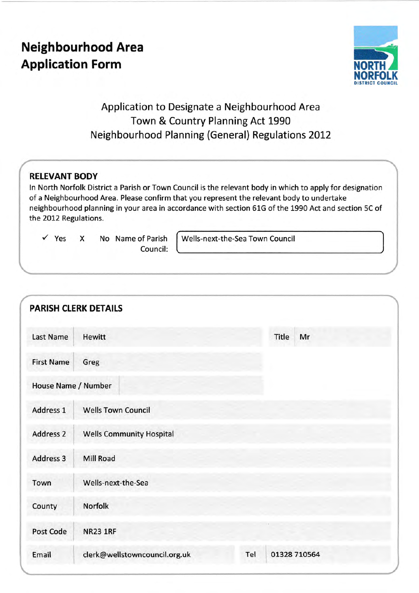# Neighbourhood Area Application Form



# Application to Designate a Neighbourhood Area Town & Country Planning Act 1990 Neighbourhood Planning (General) Regulations 2OL2

# REIEVANT BODY

ln North Norfolk District a Parish or Town Council is the relevant body in which to apply for designation of a Neighbourhood Area. Please confirm that you represent the relevant body to undertake neighbourhood planning in your area in accordance with section 61G of the 1990 Act and section 5C of the 2012 Regulations.

 $\checkmark$  Yes  $X$  No Name of Parish

Council:

Wells-next-the-Sea Town Council

|                   | <b>PARISH CLERK DETAILS</b>     |     |              |
|-------------------|---------------------------------|-----|--------------|
| <b>Last Name</b>  | <b>Hewitt</b>                   |     | Title<br>Mr  |
| <b>First Name</b> | Greg                            |     |              |
|                   | House Name / Number             |     |              |
|                   | <b>Wells Town Council</b>       |     |              |
|                   | <b>Wells Community Hospital</b> |     |              |
|                   | Mill Road                       |     |              |
|                   | Wells-next-the-Sea              |     |              |
|                   | Norfolk                         |     |              |
|                   | <b>NR23 1RF</b>                 |     |              |
|                   | clerk@wellstowncouncil.org.uk   | Tel | 01328 710564 |
|                   |                                 |     |              |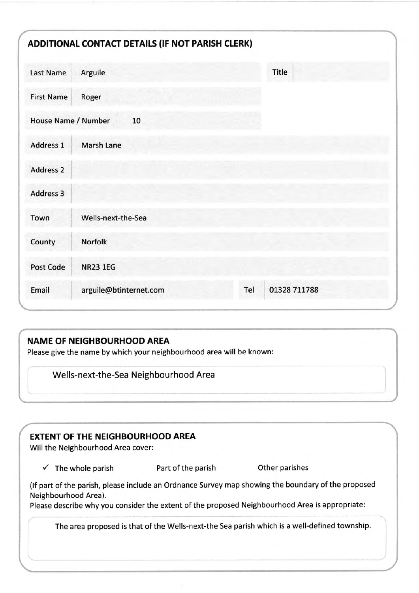|                     | ADDITIONAL CONTACT DETAILS (IF NOT PARISH CLERK) |     |              |
|---------------------|--------------------------------------------------|-----|--------------|
| <b>Last Name</b>    | Arguile                                          |     | Title        |
| <b>First Name</b>   | Roger                                            |     |              |
| House Name / Number | 10                                               |     |              |
| Address 1           | Marsh Lane                                       |     |              |
| <b>Address 2</b>    |                                                  |     |              |
| Address 3           |                                                  |     |              |
| Town                | Wells-next-the-Sea                               |     |              |
| County              | <b>Norfolk</b>                                   |     |              |
| Post Code           | <b>NR23 1EG</b>                                  |     |              |
| Email               | arguile@btinternet.com                           | Tel | 01328 711788 |

# NAME OF NEIGHBOURHOOD AREA

Please give the name by which your neighbourhood area will be known:

Wells-next-the-Sea Neighbourhood Area **Wells** 

# EXTENT OF THE NEIGHBOURHOOD AREA

Will the Neighbourhood Area cover:

 $\checkmark$  The whole parish Part of the parish Other parishes

(lf part of the parish, please include an Ordnance Survey map showing the boundary of the proposed Neighbourhood Area).

Please describe why you consider the extent of the proposed Neighbourhood Area is appropriate:

The area proposed is that of the Wells-next-the Sea parish which is a well-defined township.